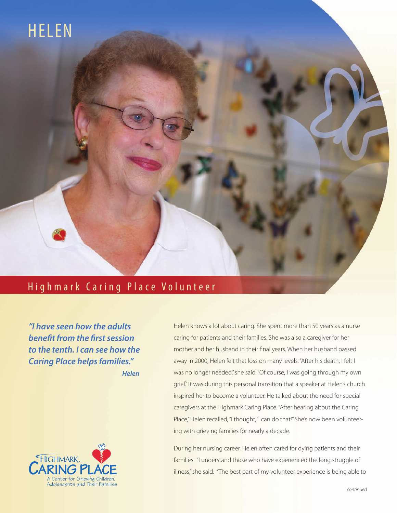## HELEN

## Highmark Caring Place Volunteer

*"I have seen how the adults benefit from the first session to the tenth. I can see how the Caring Place helps families." Helen*



Helen knows a lot about caring. She spent more than 50 years as a nurse caring for patients and their families. She was also a caregiver for her mother and her husband in their final years. When her husband passed away in 2000, Helen felt that loss on many levels. "After his death, I felt I was no longer needed," she said. "Of course, I was going through my own grief." It was during this personal transition that a speaker at Helen's church inspired her to become a volunteer. He talked about the need for special caregivers at the Highmark Caring Place. "After hearing about the Caring Place," Helen recalled, "I thought, 'I can do that!" She's now been volunteering with grieving families for nearly a decade.

During her nursing career, Helen often cared for dying patients and their families. "I understand those who have experienced the long struggle of illness," she said. "The best part of my volunteer experience is being able to